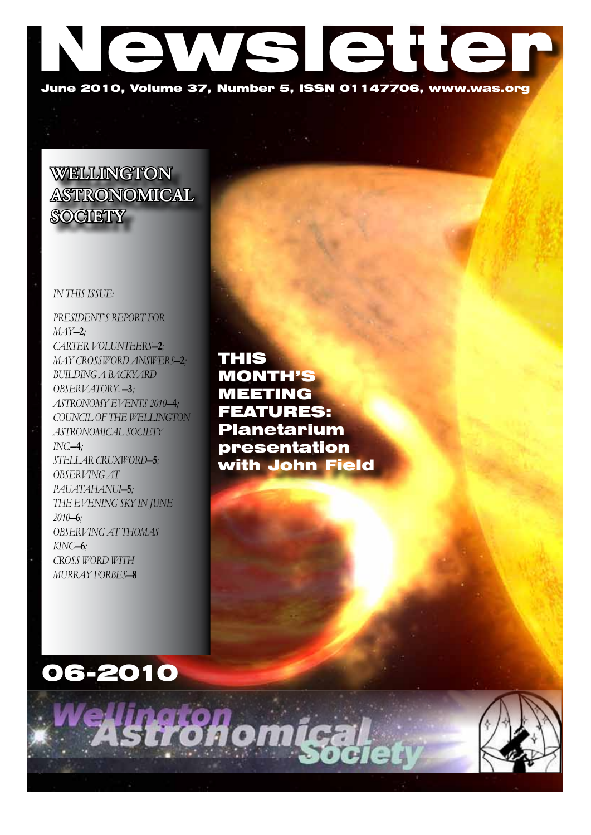

# WELLINGTON ASTRONOMICAL **SOCIETY**

### *In this issue:*

*PRESIDENT's REPORT FOR MAY*—2*; CARTER VOLUNTEERS*—2*; May Crossword answers*—2*; Building a backyard observatory.* —3*; ASTRONOMY EVENTS 2010*—4*; COUNCIL OF THE WELLINGTON ASTRONOMICAL SOCIETY INC.*—4*; Stellar Cruxword*—5*; OBSERVING AT PAUATAHANUI*—5*; The Evening Sky in June 2010*—6*; OBSERVING AT THOMAS KING*—6*; Cross Word with Murray Forbes*—8

THIS MONTH'S MEETING FEATURES: Planetarium presentation with John Field



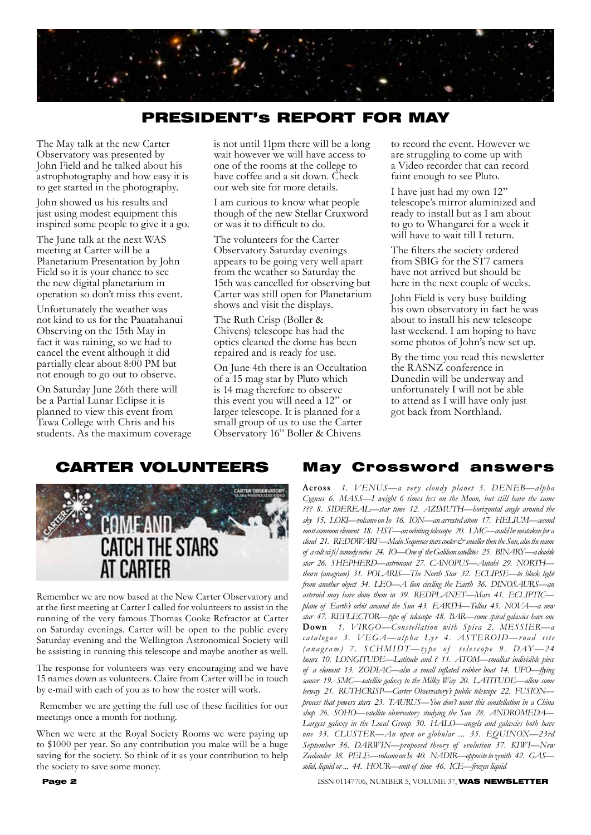

# PRESIDENT's REPORT FOR MAY

The May talk at the new Carter Observatory was presented by John Field and he talked about his astrophotography and how easy it is to get started in the photography.

John showed us his results and just using modest equipment this inspired some people to give it a go.

The June talk at the next WAS meeting at Carter will be a Planetarium Presentation by John Field so it is your chance to see the new digital planetarium in operation so don't miss this event.

Unfortunately the weather was not kind to us for the Pauatahanui Observing on the 15th May in fact it was raining, so we had to cancel the event although it did partially clear about 8:00 PM but not enough to go out to observe.

On Saturday June 26th there will be a Partial Lunar Eclipse it is planned to view this event from Tawa College with Chris and his students. As the maximum coverage is not until 11pm there will be a long wait however we will have access to one of the rooms at the college to have coffee and a sit down. Check our web site for more details.

I am curious to know what people though of the new Stellar Cruxword or was it to difficult to do.

The volunteers for the Carter Observatory Saturday evenings appears to be going very well apart from the weather so Saturday the 15th was cancelled for observing but Carter was still open for Planetarium shows and visit the displays.

The Ruth Crisp (Boller & Chivens) telescope has had the optics cleaned the dome has been repaired and is ready for use.

On June 4th there is an Occultation of a 15 mag star by Pluto which is 14 mag therefore to observe this event you will need a 12" or larger telescope. It is planned for a small group of us to use the Carter Observatory 16" Boller & Chivens

to record the event. However we are struggling to come up with a Video recorder that can record faint enough to see Pluto.

I have just had my own 12" telescope's mirror aluminized and ready to install but as I am about to go to Whangarei for a week it will have to wait till I return.

The filters the society ordered from SBIG for the ST7 camera have not arrived but should be here in the next couple of weeks.

John Field is very busy building his own observatory in fact he was about to install his new telescope last weekend. I am hoping to have some photos of John's new set up.

By the time you read this newsletter the RASNZ conference in Dunedin will be underway and unfortunately I will not be able to attend as I will have only just got back from Northland.



Remember we are now based at the New Carter Observatory and at the first meeting at Carter I called for volunteers to assist in the running of the very famous Thomas Cooke Refractor at Carter on Saturday evenings. Carter will be open to the public every Saturday evening and the Wellington Astronomical Society will be assisting in running this telescope and maybe another as well.

The response for volunteers was very encouraging and we have 15 names down as volunteers. Claire from Carter will be in touch by e-mail with each of you as to how the roster will work.

 Remember we are getting the full use of these facilities for our meetings once a month for nothing.

When we were at the Royal Society Rooms we were paying up to \$1000 per year. So any contribution you make will be a huge saving for the society. So think of it as your contribution to help the society to save some money.

### CARTER VOLUNTEERS May Crossword answers

Across *1. VENUS—a very cloudy planet 5. DENEB—alpha Cygnus 6. MASS—I weight 6 times less on the Moon, but still have the same ??? 8. SIDEREAL—star time 12. AZIMUTH—horizontal angle around the sky 15. LOKI—volcano on Io 16. ION—an arrested atom 17. HELIUM—second most common element 18. HST—an orbiting telescope 20. LMC—could be mistaken for a cloud* 21. REDDWARF—Main Sequence stars cooler  $\dot{\mathcal{C}}$  smaller then the Sun, also the name *of a cult sci fi/comedy series 24. IO—One of the Galilean satellites 25. BINARY—a double star 26. SHEPHERD—astronaut 27. CANOPUS—Autahi 29. NORTH thorn (anagram) 31. POLARIS—The North Star 32. ECLIPSE—to block light from another object 34. LEO—A lion circling the Earth 36. DINOSAURS—an asteroid may have done them in 39. REDPLANET—Mars 41. ECLIPTIC plane of Earth's orbit around the Sun 43. EARTH—Tellus 45. NOVA—a new star 47. REFLECTOR—type of telescope 48. BAR—some spiral galaxies have one* Down *1. VIRGO—Constellation with Spica 2. MESSIER—a catalogue 3. VEGA—alpha Lyr 4. ASTEROID—r oad site (anagram)* 7. SCHMIDT—type of telescope 9. DAY-24 *hours 10. LONGITUDE—Latitude and ? 11. ATOM—smallest indivisible piece of a element 13. ZODIAC—also a small inflated rubber boat 14. UFO—flying saucer 19. SMC—satellite galaxy to the Milky Way 20. LATITUDE—allow some leeway 21. RUTHCRISP—Carter Observatory's public telescope 22. FUSION process that powers stars 23. TAURUS—You don't want this constellation in a China shop 26. SOHO—satellite observatory studying the Sun 28. ANDROMEDA— Largest galaxy in the Local Group 30. HALO—angels and galaxies both have one 33. CLUSTER—An open or globular ... 35. EQUINOX—23rd September 36. DARWIN—proposed theory of evolution 37. KIWI—New Zealander 38. PELE—volcano on Io 40. NADIR—opposite to zenith 42. GAS solid, liquid or ... 44. HOUR—unit of time 46. ICE—frozen liquid*

**Page 2 ISSN 01147706, NUMBER 5, VOLUME 37, WAS NEWSLETTER**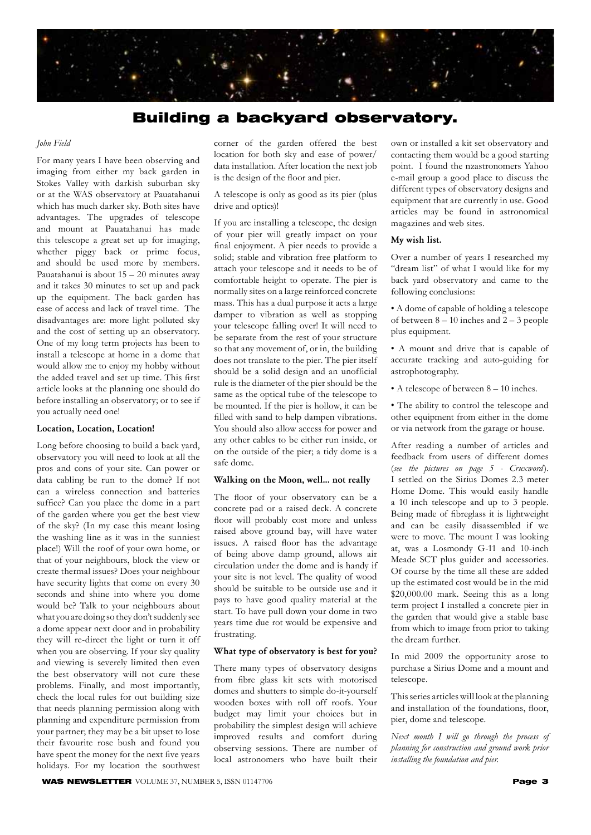

# Building a backyard observatory.

#### *John Field*

For many years I have been observing and imaging from either my back garden in Stokes Valley with darkish suburban sky or at the WAS observatory at Pauatahanui which has much darker sky. Both sites have advantages. The upgrades of telescope and mount at Pauatahanui has made this telescope a great set up for imaging, whether piggy back or prime focus, and should be used more by members. Pauatahanui is about 15 – 20 minutes away and it takes 30 minutes to set up and pack up the equipment. The back garden has ease of access and lack of travel time. The disadvantages are: more light polluted sky and the cost of setting up an observatory. One of my long term projects has been to install a telescope at home in a dome that would allow me to enjoy my hobby without the added travel and set up time. This first article looks at the planning one should do before installing an observatory; or to see if you actually need one!

### Location, Location, Location!

Long before choosing to build a back yard, observatory you will need to look at all the pros and cons of your site. Can power or data cabling be run to the dome? If not can a wireless connection and batteries suffice? Can you place the dome in a part of the garden where you get the best view of the sky? (In my case this meant losing the washing line as it was in the sunniest place!) Will the roof of your own home, or that of your neighbours, block the view or create thermal issues? Does your neighbour have security lights that come on every 30 seconds and shine into where you dome would be? Talk to your neighbours about what you are doing so they don't suddenly see a dome appear next door and in probability they will re-direct the light or turn it off when you are observing. If your sky quality and viewing is severely limited then even the best observatory will not cure these problems. Finally, and most importantly, check the local rules for out building size that needs planning permission along with planning and expenditure permission from your partner; they may be a bit upset to lose their favourite rose bush and found you have spent the money for the next five years holidays. For my location the southwest

corner of the garden offered the best location for both sky and ease of power/ data installation. After location the next job is the design of the floor and pier.

A telescope is only as good as its pier (plus drive and optics)!

If you are installing a telescope, the design of your pier will greatly impact on your final enjoyment. A pier needs to provide a solid; stable and vibration free platform to attach your telescope and it needs to be of comfortable height to operate. The pier is normally sites on a large reinforced concrete mass. This has a dual purpose it acts a large damper to vibration as well as stopping your telescope falling over! It will need to be separate from the rest of your structure so that any movement of, or in, the building does not translate to the pier. The pier itself should be a solid design and an unofficial rule is the diameter of the pier should be the same as the optical tube of the telescope to be mounted. If the pier is hollow, it can be filled with sand to help dampen vibrations. You should also allow access for power and any other cables to be either run inside, or on the outside of the pier; a tidy dome is a safe dome.

#### Walking on the Moon, well... not really

The floor of your observatory can be a concrete pad or a raised deck. A concrete floor will probably cost more and unless raised above ground bay, will have water issues. A raised floor has the advantage of being above damp ground, allows air circulation under the dome and is handy if your site is not level. The quality of wood should be suitable to be outside use and it pays to have good quality material at the start. To have pull down your dome in two years time due rot would be expensive and frustrating.

#### What type of observatory is best for you?

There many types of observatory designs from fibre glass kit sets with motorised domes and shutters to simple do-it-yourself wooden boxes with roll off roofs. Your budget may limit your choices but in probability the simplest design will achieve improved results and comfort during observing sessions. There are number of local astronomers who have built their

own or installed a kit set observatory and contacting them would be a good starting point. I found the nzastronomers Yahoo e-mail group a good place to discuss the different types of observatory designs and equipment that are currently in use. Good articles may be found in astronomical magazines and web sites.

#### My wish list.

Over a number of years I researched my "dream list" of what I would like for my back yard observatory and came to the following conclusions:

• A dome of capable of holding a telescope of between  $8 - 10$  inches and  $2 - 3$  people plus equipment.

• A mount and drive that is capable of accurate tracking and auto-guiding for astrophotography.

• A telescope of between 8 – 10 inches.

• The ability to control the telescope and other equipment from either in the dome or via network from the garage or house.

After reading a number of articles and feedback from users of different domes (*see the pictures on page 5 - Cruxword*). I settled on the Sirius Domes 2.3 meter Home Dome. This would easily handle a 10 inch telescope and up to 3 people. Being made of fibreglass it is lightweight and can be easily disassembled if we were to move. The mount I was looking at, was a Losmondy G-11 and 10-inch Meade SCT plus guider and accessories. Of course by the time all these are added up the estimated cost would be in the mid \$20,000.00 mark. Seeing this as a long term project I installed a concrete pier in the garden that would give a stable base from which to image from prior to taking the dream further.

In mid 2009 the opportunity arose to purchase a Sirius Dome and a mount and telescope.

This series articles will look at the planning and installation of the foundations, floor, pier, dome and telescope.

*Next month I will go through the process of planning for construction and ground work prior installing the foundation and pier.*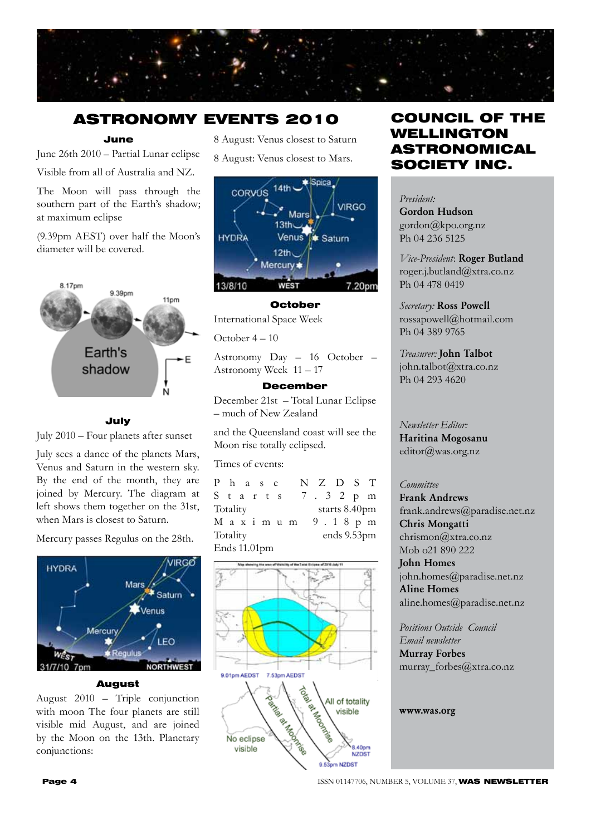

# ASTRONOMY EVENTS 2010

### June

June 26th 2010 – Partial Lunar eclipse Visible from all of Australia and NZ.

The Moon will pass through the southern part of the Earth's shadow; at maximum eclipse

(9.39pm AEST) over half the Moon's diameter will be covered.



### July

July 2010 – Four planets after sunset

July sees a dance of the planets Mars, Venus and Saturn in the western sky. By the end of the month, they are joined by Mercury. The diagram at left shows them together on the 31st, when Mars is closest to Saturn.

Mercury passes Regulus on the 28th.



#### August

August 2010 – Triple conjunction with moon The four planets are still visible mid August, and are joined by the Moon on the 13th. Planetary conjunctions:

8 August: Venus closest to Saturn

8 August: Venus closest to Mars.



#### October

International Space Week

October 4 – 10

Astronomy Day – 16 October – Astronomy Week 11 – 17

### December

December 21st – Total Lunar Eclipse – much of New Zealand

and the Queensland coast will see the Moon rise totally eclipsed.

Times of events:

P h a s e N Z D S T S t a r t s 7 . 3 2 p m Totality starts 8.40pm M a x i m u m 9 . 1 8 p m Totality ends 9.53pm Ends 11.01pm



# COUNCIL OF THE WELLINGTON ASTRONOMICAL SOCIETY INC.

*President:*  Gordon Hudson gordon@kpo.org.nz Ph 04 236 5125

*Vice-President*: Roger Butland roger.j.butland@xtra.co.nz Ph 04 478 0419

*Secretary:* Ross Powell rossapowell@hotmail.com Ph 04 389 9765

*Treasurer:* John Talbot john.talbot@xtra.co.nz Ph 04 293 4620

*Newsletter Editor:*  Haritina Mogosanu editor@was.org.nz

### *Committee*

Frank Andrews frank.andrews@paradise.net.nz Chris Mongatti chrismon@xtra.co.nz Mob o21 890 222 John Homes

john.homes@paradise.net.nz Aline Homes aline.homes@paradise.net.nz

*Positions Outside Council Email newsletter* Murray Forbes murray\_forbes@xtra.co.nz

www.was.org

**Page 4 ISSN 01147706, NUMBER 5, VOLUME 37, WAS NEWSLETTER**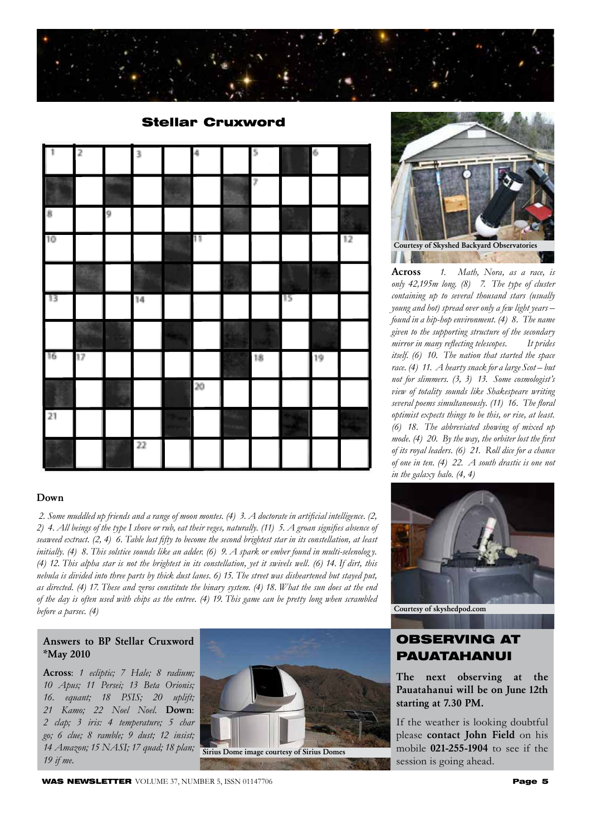

| Ť.              | $\overline{\mathcal{L}}$ |   | 3      | $\frac{1}{2}$ | Ş.                |    | Ŵ, |    |
|-----------------|--------------------------|---|--------|---------------|-------------------|----|----|----|
|                 |                          |   |        |               | $\overline{\ell}$ |    |    |    |
| 8               |                          | 9 |        |               |                   |    |    |    |
| 10              |                          |   |        | 11            |                   |    |    | 12 |
|                 |                          |   |        |               |                   |    |    |    |
| 13              |                          |   | 4      |               |                   | 15 |    |    |
|                 |                          |   |        |               |                   |    |    |    |
| 16              | 17                       |   |        |               | 18                |    | 19 |    |
|                 |                          |   |        | $20\,$        |                   |    |    |    |
| $\overline{21}$ |                          |   |        |               |                   |    |    |    |
|                 |                          |   | $22\,$ |               |                   |    |    |    |

### Stellar Cruxword

### Down

 *2. Some muddled up friends and a range of moon montes. (4) 3. A doctorate in artificial intelligence. (2, 2) 4. All beings of the type I shove or rub, eat their veges, naturally. (11) 5. A groan signifies absence of seaweed extract. (2, 4) 6. Table lost fifty to become the second brightest star in its constellation, at least initially. (4) 8. This solstice sounds like an adder. (6) 9. A spark or ember found in multi-selenolog y. (4) 12. This alpha star is not the brightest in its constellation, yet it swivels well. (6) 14. If dirt, this nebula is divided into three parts by thick dust lanes. 6) 15. The street was disheartened but stayed put, as directed. (4) 17. These and zeros constitute the binary system. (4) 18. What the sun does at the end of the day is often used with chips as the entree. (4) 19. This game can be pretty long when scrambled before a parsec. (4)* 

### Answers to BP Stellar Cruxword \*May 2010

Across: *1 ecliptic; 7 Hale; 8 radium; 10 Apus; 11 Persei; 13 Beta Orionis; 16. equant; 18 PSIS; 20 uplift; 21 Kamo; 22 Noel Noel.* Down: *2 clap; 3 iris: 4 temperature; 5 char go; 6 clue; 8 ramble; 9 dust; 12 insist; 14 Amazon; 15 NASI; 17 quad; 18 plan; 19 if me.*



Courtesy of Skyshed Backyard Observatories**JAPR** 

Across *1. Math, Nora, as a race, is only 42,195m long. (8) 7. The type of cluster containing up to several thousand stars (usually young and hot) spread over only a few light years – found in a hip-hop environment. (4) 8. The name given to the supporting structure of the secondary mirror in many reflecting telescopes. It prides itself. (6) 10. The nation that started the space race. (4) 11. A hearty snack for a large Scot – but not for slimmers. (3, 3) 13. Some cosmologist's view of totality sounds like Shakespeare writing several poems simultaneously. (11) 16. The floral optimist expects things to be this, or rise, at least. (6) 18. The abbreviated showing of mixed up mode. (4) 20. By the way, the orbiter lost the first of its royal leaders. (6) 21. Roll dice for a chance of one in ten. (4) 22. A south drastic is one not in the galaxy halo. (4, 4)*



Courtesy of skyshedpod.com

## OBSERVING AT PAUATAHANUI

The next observing at the Pauatahanui will be on June 12th starting at 7.30 PM.

If the weather is looking doubtful please contact John Field on his mobile 021-255-1904 to see if the session is going ahead.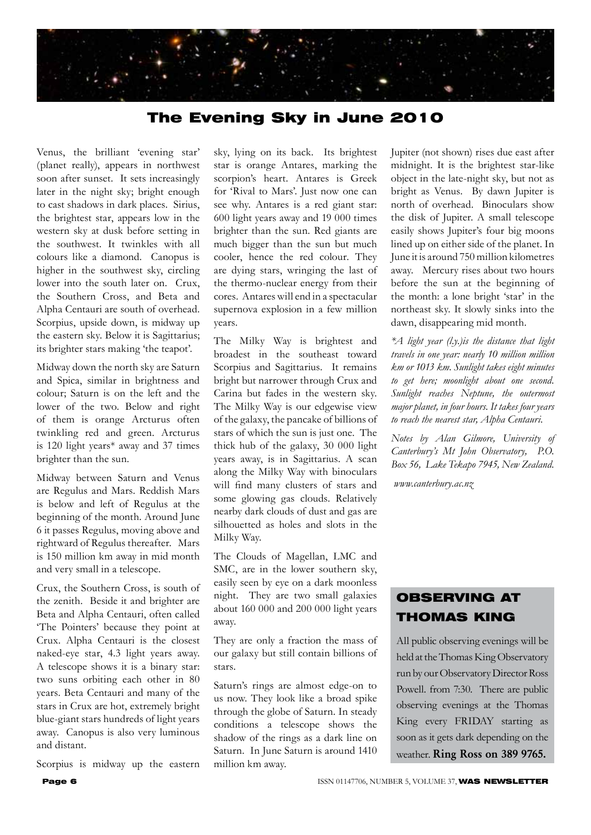

# The Evening Sky in June 2010

Venus, the brilliant 'evening star' (planet really), appears in northwest soon after sunset. It sets increasingly later in the night sky; bright enough to cast shadows in dark places. Sirius, the brightest star, appears low in the western sky at dusk before setting in the southwest. It twinkles with all colours like a diamond. Canopus is higher in the southwest sky, circling lower into the south later on. Crux, the Southern Cross, and Beta and Alpha Centauri are south of overhead. Scorpius, upside down, is midway up the eastern sky. Below it is Sagittarius; its brighter stars making 'the teapot'.

Midway down the north sky are Saturn and Spica, similar in brightness and colour; Saturn is on the left and the lower of the two. Below and right of them is orange Arcturus often twinkling red and green. Arcturus is 120 light years\* away and 37 times brighter than the sun.

Midway between Saturn and Venus are Regulus and Mars. Reddish Mars is below and left of Regulus at the beginning of the month. Around June 6 it passes Regulus, moving above and rightward of Regulus thereafter. Mars is 150 million km away in mid month and very small in a telescope.

Crux, the Southern Cross, is south of the zenith. Beside it and brighter are Beta and Alpha Centauri, often called 'The Pointers' because they point at Crux. Alpha Centauri is the closest naked-eye star, 4.3 light years away. A telescope shows it is a binary star: two suns orbiting each other in 80 years. Beta Centauri and many of the stars in Crux are hot, extremely bright blue-giant stars hundreds of light years away. Canopus is also very luminous and distant.

Scorpius is midway up the eastern

sky, lying on its back. Its brightest star is orange Antares, marking the scorpion's heart. Antares is Greek for 'Rival to Mars'. Just now one can see why. Antares is a red giant star: 600 light years away and 19 000 times brighter than the sun. Red giants are much bigger than the sun but much cooler, hence the red colour. They are dying stars, wringing the last of the thermo-nuclear energy from their cores. Antares will end in a spectacular supernova explosion in a few million years.

The Milky Way is brightest and broadest in the southeast toward Scorpius and Sagittarius. It remains bright but narrower through Crux and Carina but fades in the western sky. The Milky Way is our edgewise view of the galaxy, the pancake of billions of stars of which the sun is just one. The thick hub of the galaxy, 30 000 light years away, is in Sagittarius. A scan along the Milky Way with binoculars will find many clusters of stars and some glowing gas clouds. Relatively nearby dark clouds of dust and gas are silhouetted as holes and slots in the Milky Way.

The Clouds of Magellan, LMC and SMC, are in the lower southern sky, easily seen by eye on a dark moonless night. They are two small galaxies about 160 000 and 200 000 light years away.

They are only a fraction the mass of our galaxy but still contain billions of stars.

Saturn's rings are almost edge-on to us now. They look like a broad spike through the globe of Saturn. In steady conditions a telescope shows the shadow of the rings as a dark line on Saturn. In June Saturn is around 1410 million km away.

Jupiter (not shown) rises due east after midnight. It is the brightest star-like object in the late-night sky, but not as bright as Venus. By dawn Jupiter is north of overhead. Binoculars show the disk of Jupiter. A small telescope easily shows Jupiter's four big moons lined up on either side of the planet. In June it is around 750 million kilometres away. Mercury rises about two hours before the sun at the beginning of the month: a lone bright 'star' in the northeast sky. It slowly sinks into the dawn, disappearing mid month.

*\*A light year (l.y.)is the distance that light travels in one year: nearly 10 million million km or 1013 km. Sunlight takes eight minutes to get here; moonlight about one second. Sunlight reaches Neptune, the outermost major planet, in four hours. It takes four years to reach the nearest star, Alpha Centauri.*

*Notes by Alan Gilmore, University of Canterbury's Mt John Observatory, P.O. Box 56, Lake Tekapo 7945, New Zealand.*

 *www.canterbury.ac.nz* 

# OBSERVING AT THOMAS KING

All public observing evenings will be held at the Thomas King Observatory run by our Observatory Director Ross Powell. from 7:30. There are public observing evenings at the Thomas King every FRIDAY starting as soon as it gets dark depending on the weather. Ring Ross on 389 9765.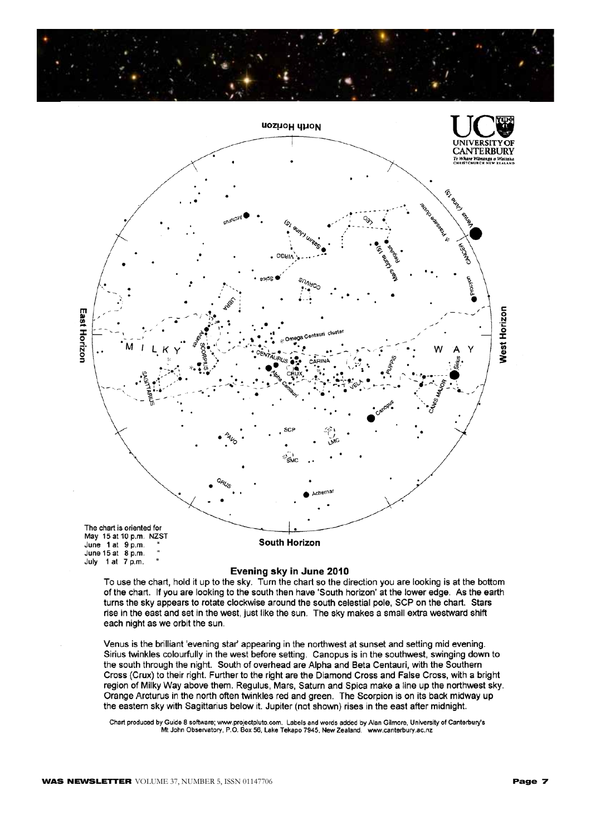



#### Evening sky in June 2010

To use the chart, hold it up to the sky. Turn the chart so the direction you are looking is at the bottom of the chart. If you are looking to the south then have 'South horizon' at the lower edge. As the earth turns the sky appears to rotate clockwise around the south celestial pole, SCP on the chart. Stars rise in the east and set in the west, just like the sun. The sky makes a small extra westward shift each night as we orbit the sun.

Venus is the brilliant 'evening star' appearing in the northwest at sunset and setting mid evening. Sirius twinkles colourfully in the west before setting. Canopus is in the southwest, swinging down to the south through the night. South of overhead are Alpha and Beta Centauri, with the Southern Cross (Crux) to their right. Further to the right are the Diamond Cross and False Cross, with a bright region of Milky Way above them. Regulus, Mars, Saturn and Spica make a line up the northwest sky. Orange Arcturus in the north often twinkles red and green. The Scorpion is on its back midway up the eastern sky with Sagittarius below it. Jupiter (not shown) rises in the east after midnight.

Chart produced by Guide 8 software; www.projectpluto.com. Labels and words added by Alan Gilmore, University of Canterbury's<br>Mt John Observatory, P.O. Box 56, Lake Tekapo 7945, New Zealand. www.canterbury.ac.nz